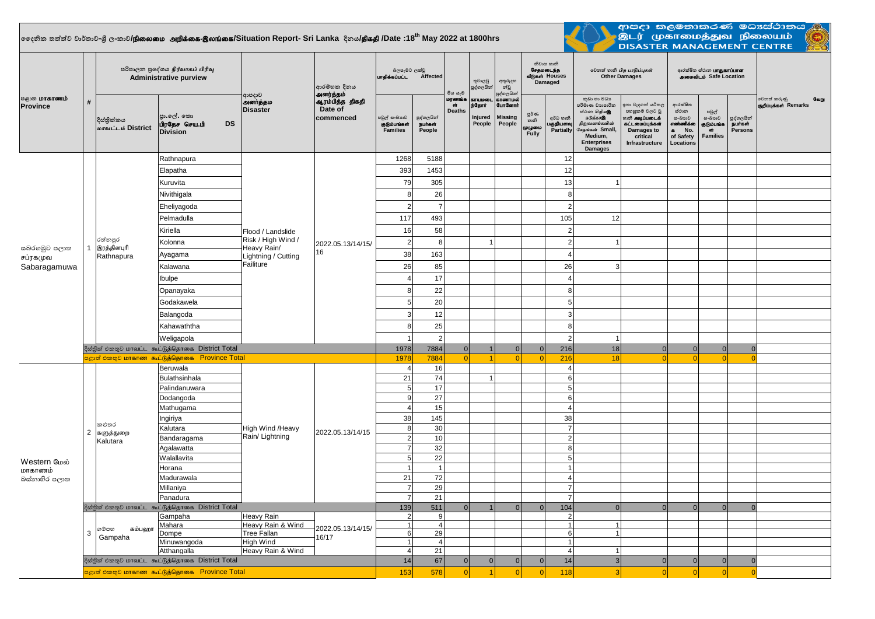## $\vert$ ලෛදනික තත්ත්ව වාර්තාව-ශී ලංකාව**/நிலைமை அறிக்கை-இலங்கை/Situation Report- Sri Lanka දිනය<b>/திகதி /D**ate :18<sup>th</sup> May 2022 at 1800hrs

<u>a mata</u>



| <b>்குறை மாகாணம்</b><br>Province                           | #              | පරිපාලන පුදේශය நிர்வாகப் பிரிவு<br><b>Administrative purview</b> |                                                             |                                                                                            | ආරම්භක දිනය<br>அனர்த்தம்                | බලපෑමට ලක්වු<br>unalasuuLL Affected             |                                 | මිය යෑම                             | තුවාලඩු<br>පුද්ගලයින්                 | අතුරුදහ<br>න්වූ<br>පුද්ගලයින්                 | නිවාස හානි<br>சேதமடைந்த<br>வீடுகள் Houses<br>Damaged |                                     | லிலை லி பிற பாதிப்புகள்<br><b>Other Damages</b>                                                                                                     |                                                                                                                                 | ආරක්ෂිත ස්ථාන <b>பாதுகாப்பான</b><br>அமைவிடம் Safe Location                            |                                                         |                                                |                                              |
|------------------------------------------------------------|----------------|------------------------------------------------------------------|-------------------------------------------------------------|--------------------------------------------------------------------------------------------|-----------------------------------------|-------------------------------------------------|---------------------------------|-------------------------------------|---------------------------------------|-----------------------------------------------|------------------------------------------------------|-------------------------------------|-----------------------------------------------------------------------------------------------------------------------------------------------------|---------------------------------------------------------------------------------------------------------------------------------|---------------------------------------------------------------------------------------|---------------------------------------------------------|------------------------------------------------|----------------------------------------------|
|                                                            |                | දිස්තික්කය<br>மாவட்டம் District                                  | පා.ලේ. කො<br>பிரதேச செய.பி<br><b>DS</b><br><b>Division</b>  | ආපදාව<br>அனர்த்தம<br><b>Disaster</b>                                                       | ஆரம்பித்த திகதி<br>Date of<br>commenced | පවුල් සංඛාගව<br>குடும்பங்கள்<br><b>Families</b> | පුද්ගලයින්<br>நபர்கள்<br>People | மரணங்க<br>$\sigma$<br><b>Deaths</b> | தாயமடை<br>ந்தோர்<br>Injured<br>People | காணாமல்<br>போனோர்<br><b>Missing</b><br>People | පූර්ණ<br>ගානි<br>முழுமை<br>Fully                     | අර්ධ හානි<br>பகுதியளவு<br>Partially | කුඩා හා මධා<br>පරිමාණ වාාපාරික<br>ස්ථාන හිඹු ගමු<br>நடுத்தரஇ<br>நிறுவனங்களின்<br>சேதங்கள் Small,<br>Medium.<br><b>Enterprises</b><br><b>Damages</b> | ඉතා වැදගත් යටිතල<br>පහසුකම් වලට වූ<br>ைகி <b>அடிப்படைக்</b><br>.<br>கட்டமைப்புக்கள்<br>Damages to<br>critical<br>Infrastructure | ආරක්ෂිත<br>ස්ථාන<br>සංඛාහව<br>எண்ணிக்கை<br>No.<br>$\bullet$<br>of Safety<br>Locations | පවුල්<br>සංඛාාව<br>குடும்பங்க<br>ofr<br><b>Families</b> | පුද්ගලයින්<br><b>நபர்கள்</b><br><b>Persons</b> | வேறு<br>වෙනත් කරුණු<br>குறிப்புக்கள் Remarks |
|                                                            |                |                                                                  | Rathnapura                                                  | Flood / Landslide<br>Risk / High Wind /<br>Heavy Rain/<br>Lightning / Cutting<br>Failiture | 2022.05.13/14/15/<br>16                 | 1268                                            | 5188                            |                                     |                                       |                                               |                                                      | 12                                  |                                                                                                                                                     |                                                                                                                                 |                                                                                       |                                                         |                                                |                                              |
|                                                            |                |                                                                  | Elapatha                                                    |                                                                                            |                                         | 393                                             | 1453                            |                                     |                                       |                                               |                                                      | 12                                  |                                                                                                                                                     |                                                                                                                                 |                                                                                       |                                                         |                                                |                                              |
|                                                            |                |                                                                  | Kuruvita                                                    |                                                                                            |                                         | 79                                              | 305                             |                                     |                                       |                                               |                                                      | 13                                  |                                                                                                                                                     |                                                                                                                                 |                                                                                       |                                                         |                                                |                                              |
|                                                            |                |                                                                  | Nivithigala                                                 |                                                                                            |                                         | 8                                               | 26                              |                                     |                                       |                                               |                                                      | 8                                   |                                                                                                                                                     |                                                                                                                                 |                                                                                       |                                                         |                                                |                                              |
|                                                            |                |                                                                  | Eheliyagoda                                                 |                                                                                            |                                         | $\overline{2}$                                  | $\overline{7}$                  |                                     |                                       |                                               |                                                      | $\overline{2}$                      |                                                                                                                                                     |                                                                                                                                 |                                                                                       |                                                         |                                                |                                              |
| සබරගමුව පලාත<br>சப்ரகமுவ<br>Sabaragamuwa                   | $\mathbf{1}$   | රත්නපුර<br>இரத்தினபுரி<br>Rathnapura                             | Pelmadulla                                                  |                                                                                            |                                         | 117                                             | 493                             |                                     |                                       |                                               |                                                      | 105                                 | 12                                                                                                                                                  |                                                                                                                                 |                                                                                       |                                                         |                                                |                                              |
|                                                            |                |                                                                  | Kiriella                                                    |                                                                                            |                                         | 16                                              | 58                              |                                     |                                       |                                               |                                                      | $\overline{2}$                      |                                                                                                                                                     |                                                                                                                                 |                                                                                       |                                                         |                                                |                                              |
|                                                            |                |                                                                  | Kolonna                                                     |                                                                                            |                                         | 2 <sub>1</sub>                                  | 8                               |                                     |                                       |                                               |                                                      | $\overline{2}$                      |                                                                                                                                                     |                                                                                                                                 |                                                                                       |                                                         |                                                |                                              |
|                                                            |                |                                                                  | Ayagama                                                     |                                                                                            |                                         | 38                                              | 163                             |                                     |                                       |                                               |                                                      | $\overline{4}$                      |                                                                                                                                                     |                                                                                                                                 |                                                                                       |                                                         |                                                |                                              |
|                                                            |                |                                                                  | Kalawana                                                    |                                                                                            |                                         | 26                                              | 85                              |                                     |                                       |                                               |                                                      | 26                                  | 3                                                                                                                                                   |                                                                                                                                 |                                                                                       |                                                         |                                                |                                              |
|                                                            |                |                                                                  | Ibulpe                                                      |                                                                                            |                                         | $\Delta$                                        | 17                              |                                     |                                       |                                               |                                                      | $\overline{4}$                      |                                                                                                                                                     |                                                                                                                                 |                                                                                       |                                                         |                                                |                                              |
|                                                            |                |                                                                  | Opanayaka                                                   |                                                                                            |                                         | 8                                               | 22                              |                                     |                                       |                                               |                                                      | 8                                   |                                                                                                                                                     |                                                                                                                                 |                                                                                       |                                                         |                                                |                                              |
|                                                            |                |                                                                  | Godakawela                                                  |                                                                                            |                                         | 5 <sup>1</sup>                                  | 20                              |                                     |                                       |                                               |                                                      | 5                                   |                                                                                                                                                     |                                                                                                                                 |                                                                                       |                                                         |                                                |                                              |
|                                                            |                |                                                                  | Balangoda                                                   |                                                                                            |                                         | 3                                               | 12                              |                                     |                                       |                                               |                                                      | 3                                   |                                                                                                                                                     |                                                                                                                                 |                                                                                       |                                                         |                                                |                                              |
|                                                            |                |                                                                  | Kahawaththa                                                 |                                                                                            |                                         | 8                                               | 25                              |                                     |                                       |                                               |                                                      | 8                                   |                                                                                                                                                     |                                                                                                                                 |                                                                                       |                                                         |                                                |                                              |
|                                                            |                |                                                                  | Weligapola                                                  |                                                                                            |                                         |                                                 | $\overline{2}$                  |                                     |                                       |                                               |                                                      | $\mathcal{P}$                       |                                                                                                                                                     |                                                                                                                                 |                                                                                       |                                                         |                                                |                                              |
|                                                            |                |                                                                  | දිස්තික් එකතුව மாவட்ட கூட்டுத்தொகை District Total           |                                                                                            |                                         | 1978                                            | 7884                            | $\overline{0}$                      |                                       | $\Omega$                                      | 0                                                    | 216                                 | 18                                                                                                                                                  | $\Omega$                                                                                                                        | 0                                                                                     | 0                                                       |                                                |                                              |
|                                                            |                |                                                                  | <mark>்</mark> ஜூன் ஜீவை இடம் கேட்டுத்தொகை - Province Total |                                                                                            |                                         | 1978                                            | 7884                            | 0                                   | $\overline{1}$                        |                                               | $\Omega$                                             | 216                                 | 18                                                                                                                                                  | $\Omega$                                                                                                                        | $\Omega$                                                                              | ol                                                      |                                                |                                              |
|                                                            |                |                                                                  | Beruwala                                                    | High Wind /Heavy<br>Rain/ Lightning                                                        | 2022.05.13/14/15                        | $\overline{4}$                                  | 16                              |                                     |                                       |                                               |                                                      | $\overline{4}$                      |                                                                                                                                                     |                                                                                                                                 |                                                                                       |                                                         |                                                |                                              |
|                                                            | $\overline{2}$ |                                                                  | Bulathsinhala                                               |                                                                                            |                                         | 21                                              | 74                              |                                     |                                       |                                               |                                                      | 6                                   |                                                                                                                                                     |                                                                                                                                 |                                                                                       |                                                         |                                                |                                              |
|                                                            |                |                                                                  | Palindanuwara                                               |                                                                                            |                                         | 5 <sup>1</sup>                                  | 17                              |                                     |                                       |                                               |                                                      | 5                                   |                                                                                                                                                     |                                                                                                                                 |                                                                                       |                                                         |                                                |                                              |
|                                                            |                |                                                                  | Dodangoda                                                   |                                                                                            |                                         | 9<br>4 <sup>1</sup>                             | 27<br>15                        |                                     |                                       |                                               |                                                      | 6<br>$\overline{4}$                 |                                                                                                                                                     |                                                                                                                                 |                                                                                       |                                                         |                                                |                                              |
| Western மேல்<br>மாகாணம்<br>බස්නාහිර පලාත                   |                |                                                                  | Mathugama<br>Ingiriya                                       |                                                                                            |                                         | 38                                              | 145                             |                                     |                                       |                                               |                                                      | 38                                  |                                                                                                                                                     |                                                                                                                                 |                                                                                       |                                                         |                                                |                                              |
|                                                            |                | කළුතර                                                            | Kalutara                                                    |                                                                                            |                                         | 8                                               | 30                              |                                     |                                       |                                               |                                                      | $\overline{7}$                      |                                                                                                                                                     |                                                                                                                                 |                                                                                       |                                                         |                                                |                                              |
|                                                            |                | களுத்துறை<br>Kalutara                                            | Bandaragama                                                 |                                                                                            |                                         | 2                                               | 10                              |                                     |                                       |                                               |                                                      | $\overline{2}$                      |                                                                                                                                                     |                                                                                                                                 |                                                                                       |                                                         |                                                |                                              |
|                                                            |                |                                                                  | Agalawatta                                                  |                                                                                            |                                         | $\overline{7}$                                  | 32                              |                                     |                                       |                                               |                                                      | 8                                   |                                                                                                                                                     |                                                                                                                                 |                                                                                       |                                                         |                                                |                                              |
|                                                            |                |                                                                  | Walallavita                                                 |                                                                                            |                                         | 5 <sup>1</sup>                                  | 22                              |                                     |                                       |                                               |                                                      | $5\phantom{.0}$                     |                                                                                                                                                     |                                                                                                                                 |                                                                                       |                                                         |                                                |                                              |
|                                                            |                |                                                                  | Horana                                                      |                                                                                            |                                         |                                                 | $\overline{1}$                  |                                     |                                       |                                               |                                                      | $\overline{1}$                      |                                                                                                                                                     |                                                                                                                                 |                                                                                       |                                                         |                                                |                                              |
|                                                            |                |                                                                  | Madurawala                                                  |                                                                                            |                                         | 21<br>$\overline{7}$                            | $72\,$<br>29                    |                                     |                                       |                                               |                                                      | $\overline{4}$<br>$\overline{7}$    |                                                                                                                                                     |                                                                                                                                 |                                                                                       |                                                         |                                                |                                              |
|                                                            |                |                                                                  | Millaniya<br>Panadura                                       |                                                                                            |                                         | $\overline{7}$                                  | 21                              |                                     |                                       |                                               |                                                      | $\overline{7}$                      |                                                                                                                                                     |                                                                                                                                 |                                                                                       |                                                         |                                                |                                              |
|                                                            |                | දිස්තික් එකතුව மாவட்ட கூட்டுத்தொகை District Total                |                                                             |                                                                                            |                                         | 139                                             | 511                             | $\Omega$                            | $\overline{1}$                        | $\Omega$                                      | $\Omega$                                             | 104                                 | $\Omega$                                                                                                                                            | $\Omega$                                                                                                                        | $\Omega$                                                                              | $\Omega$                                                |                                                |                                              |
|                                                            |                |                                                                  | Heavy Rain<br>Gampaha                                       |                                                                                            |                                         |                                                 | 9                               |                                     |                                       |                                               |                                                      | $\overline{2}$                      |                                                                                                                                                     |                                                                                                                                 |                                                                                       |                                                         |                                                |                                              |
|                                                            | $\mathbf{3}$   | ගම්පහ<br>கம்பஹா<br>Gampaha                                       | Mahara                                                      | Heavy Rain & Wind<br><b>Tree Fallan</b><br>16/17<br>High Wind                              | 2022.05.13/14/15/                       | 1                                               | $\vert$                         |                                     |                                       |                                               |                                                      | $\overline{1}$                      | 11                                                                                                                                                  |                                                                                                                                 |                                                                                       |                                                         |                                                |                                              |
|                                                            |                |                                                                  | Dompe<br>Minuwangoda                                        |                                                                                            |                                         | 6 <sup>1</sup><br>1                             | 29<br>$\overline{a}$            |                                     |                                       |                                               |                                                      | 6<br>$\overline{1}$                 | 1                                                                                                                                                   |                                                                                                                                 |                                                                                       |                                                         |                                                |                                              |
|                                                            |                |                                                                  | Atthangalla                                                 | Heavy Rain & Wind                                                                          |                                         | $\overline{\mathbf{A}}$                         | 21                              |                                     |                                       |                                               |                                                      | $\overline{4}$                      | $\mathbf{1}$                                                                                                                                        |                                                                                                                                 |                                                                                       |                                                         |                                                |                                              |
|                                                            |                | දිස්තික් එකතුව மாவட்ட கூட்டுத்தொகை District Total                |                                                             |                                                                                            |                                         | 14                                              | 67                              | $\overline{0}$                      | 0                                     | $\Omega$                                      | 0                                                    | 14                                  | 3 <sup>1</sup>                                                                                                                                      | $\Omega$                                                                                                                        | 0                                                                                     | 0                                                       | $\Omega$                                       |                                              |
| <mark>පළාත් එකතුව மாகாண கூட்டுத்தொகை Province Total</mark> |                |                                                                  |                                                             |                                                                                            |                                         | 153                                             | 578                             | $\overline{0}$                      | $\overline{1}$                        | $\Omega$                                      | 0                                                    | 118                                 | 3 <sup>l</sup>                                                                                                                                      | $\Omega$                                                                                                                        | 0                                                                                     | 0                                                       | $\Omega$                                       |                                              |